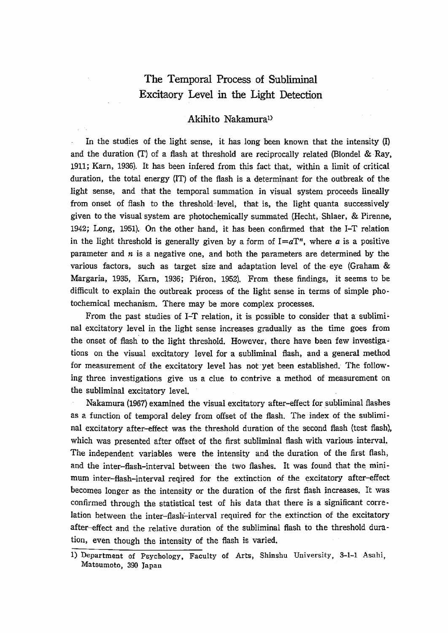# The Temporal Process of Subliminal Excitatry Level in the Light Detection

## Akihito Nakamura<sup>1)</sup>

In the studies of the light sense, it has long been known that the intensity (I) and the duration (T) of a flash at threshold are reciprocally related (Blondel & Ray, 1911; Karn, 1936). It has been infered from this fact that, within a limit of critical duration, the total energy (IT) of the flash is a determinant for the outbreak of the light sense, and that the temporal summation in visual system proceeds lineally from onset of flash to the threshold-level, that is, the light quanta successively given to the visual system are photochemically summated (Hecht, Shlaer, & Pirenne, 1942; Long, 1951). On the other hand, it has been confirmed that the I-T relation in the light threshold is generally given by a form of  $I = aT<sup>n</sup>$ , where a is a positive parameter and  $n$  is a negative one, and both the parameters are determined by the various factors, such as target size and adaptation level of the eye (Graham & Margaria, 1935, Karn, 1936; Piéron, 1952). From these findings, it seems to be difficult to explain the outbreak process of the light sense in terms of simple photochemical mechanism. There may be more complex processes.

From the past studies of I-T relation, it is possible to consider that a subliminal excitatory level in the light sense increases gradually as the time goes from the onset of flash to the light threshold. However, there have been few investigations on the visual excitatory level for a subliminal flash, and a general method for measurement of the excitatory level has not yet been established. The following three investigations give us a clue to contrive a method of measurement on the subliminal excitatory level.

Nakamura (1967) examined the visual excitatory after-effect for subliminal flashes as a function of temporal deley from offset of the flash. The index of the subliminal excitatory after-effect was the threshold duration of the second flash (test flash), which was presented after offset of the first subliminal flash with various interval. The independent variables were the intensity and the duration of the first flash, and the inter-flash-interval between the two flashes. It was found that the minimum inter-flash-interval reqired for the extinction of the excitatory after-effect becomes longer as the intensity or the duration of the first flash increases. It was confirmed through the statistical test of his data that there is a significant correlation between the inter-flash-interval required for the extinction of the excitatory after-effect and the relative duration of the subliminal flash to the threshold duration, even though the intensity of the flash is varied.

<sup>1)</sup> Department of Psychology, Faculty of Arts, Shinshu University, 3-1-1 Asahi, Matsumoto, 390 Japan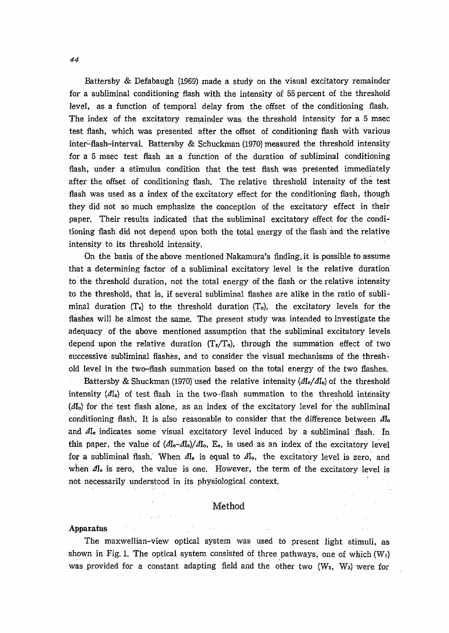Battersby & Defabaugh (1969) made a study on the visual excitatory remainder for a subliminal conditioning flash with the intensity of 55 percent of the threshold level, as a function of temporal delay from the offset of the conditioning flash. The index of the excitatory remainder was the threshold intensity for a 5 msec test flash, which was presented after the offset of conditioning flash with various inter-flash-interval. Battersby & Schuckman (1970) measured the threshold intensity for a 5 msec test flash as a function of the duration of subliminal conditioning flash, under a stimulus condition that the test flash was presented immediately after the offset of conditioning flash. The relative threshold intensity of the test flash was used as a index of the excitatory effect for the conditioning flash, though they did not so much emphasize the conception of the excitatory effect in their paper. Their results indicated that the subliminal excitatory effect for the conditioning flash did not depend upon both the total energy of the flash and the relative intensity to its threshold intensity.

On the basis of the above mentioned Nakamura's finding, it is possible to assume that a determining factor of a subliminal excitatory level is the relative duration to the threshold duration, not the total energy of the flash or the relative intensity to the threshold, that is, if several subliminal flashes are alike in the ratio of subliminal duration  $(T_s)$  to the threshold duration  $(T_o)$ , the excitatory levels for the flashes will be almost the same. The present study was intended to investigate the adequacy of the above mentioned assumption that the subliminal excitatory levels depend upon the relative duration  $(T_s/T_o)$ , through the summation effect of two successive subliminal flashes, and to consider the visual mechanisms of the threshold level in the two-flash summation based on the total energy of the two flashes.

Battersby & Shuckman (1970) used the relative intensity  $\langle A I_e / A I_o \rangle$  of the threshold intensity  $(I_{I_{e}})$  of test flash in the two-flash summation to the threshold intensity (AI<sub>o</sub>) for the test flash alone, as an index of the excitatory level for the subliminal conditioning flash. It is also reasonable to consider that the difference between  $A I_0$ and Ale indicates some visual excitatory level induced by a subliminal flash. In this paper, the value of  $(\Delta I_0 - \Delta I_c)/\Delta I_0$ , E<sub>a</sub>, is used as an index of the excitatory level for a subliminal flash. When  $\Delta I_s$  is equal to  $\Delta I_o$ , the excitatory level is zero, and when  $\Delta I_e$  is zero, the value is one. However, the term of the excitatory level is not necessarily understood in its physiological context.

### Method

 $\gamma$  , where  $\gamma$  is  $\gamma$ 

#### Apparatus

 $\mathcal{O}(\mathcal{A})$ 

The maxwellian-view optical system was used to present light stimuli, as shown in Fig. 1. The optical system consisted of three pathways, one of which  $(W_1)$ was provided for a constant adapting field and the other two  $(W_2, W_3)$  were for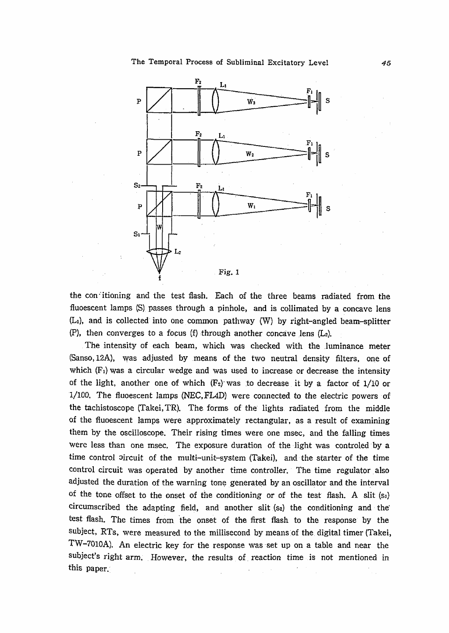

the confitioning and the test flash. Each of the three beams radiated from the fluoescent lamps (S) passes through a pinhole, and is collimated by a concave lens (L1), and is collected into one common pathway (W) by right-angled beam-splitter  $(P)$ , then converges to a focus  $(f)$  through another concave lens  $(L_2)$ .

The intensity of each beam, which was checked with the luminance meter (Sanso, 12A), was adjusted by means of the two neutral density filters, one of which  $(F<sub>1</sub>)$  was a circular wedge and was used to increase or decrease the intensity of the light, another one of which  $(F_2)$  was to decrease it by a factor of 1/10 or 1/100. The fluoescent lamps (NEC, FL4D) were connected to the electric powers of the tachistoscope (Takei, TR). The forms of the lights radiated from the middle of the fluoescent lamps were approximately rectangular, as a result of examining them by the oscilloscope. Their rising times were one msec, and the falling times were less than one msec. The exposure duration of the light was controled by a time control pircuit of the multi-unit-system (Takei), and the starter of the time control circuit was operated by another time controller. The time regulator also adjusted the duration of the warning tone generated by an oscillator and the interval of the tone offset to the onset of the conditioning or of the test flash. A slit (si) circumscribed the adapting field, and another slit (s<sub>2</sub>) the conditioning and the test flash. The times from the onset of the first flash to the response by the subject, RTs, were measured to the millisecond by means of the digital timer (Takei, TW-7010A). An electric key for the response was set up on a table and near the subject's right arm. However, the results of reaction time is not mentioned in this paper.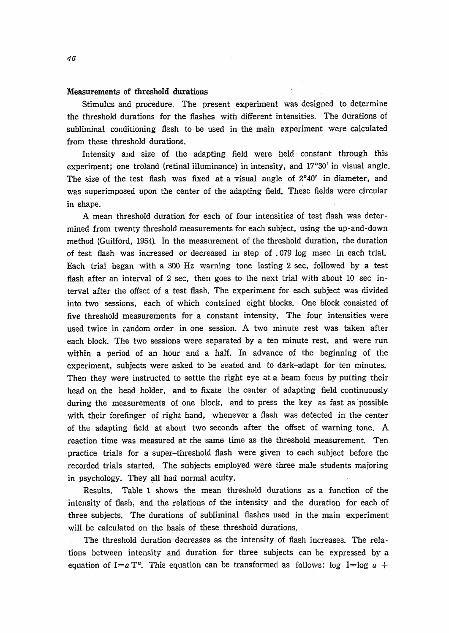### Measurements of threshold durations

Stimulus and procedure. The present experiment was designed to determine the threshold durations for the flashes with different intensities. The durations of subliminal conditioning flash to be used in the main experiment were calculated from these threshold durations.

Intensity and size of the adapting field were held constant through this experiment; one troland (retinal illuminance) in intensity, and 17°30' in visual angle. The size of the test flash was fixed at a visual angle of  $2^{\circ}40'$  in diameter, and was superimposed upon the center of the adapting field. These fields were circular in shape.

A mean threshold duration for each of four intensities of test flash was determined from twenty threshold measurements for each subject, using the up-and-down method(Guilford,1954). In the measurement of the threshold duration, the duration of test Hash was increased or decreased in step of.079 iog msec in each trial. Each trial began with a 300 Hz warning tone lasting  $2 \sec$ , followed by a test flash after an interval of 2 sec, then goes to the next trial with about 10 sec interval after the offset of a test fiash. The experiment for each subject was divided. into two sessions, each of which contained eight blocks. One block consisted of five threshold measurements for a constant intensity. The four intensitles were used twice in random order in one session. A two minute rest was taken after each block. The two sessions were separated by a ten minute rest, and were run within a period of an hour and a half. In advance of the beginning of the experiment, subjects were asked to be seated and to dark-adapt for ten minutes. Then they were instructed to settle the right eye at a beam focus by putting their head on the head holder, and to fixate the center of adapting field continuously during the measurements of one block, and to press the key as fast as possible with their forefinger of right hand, whenever a flash was detected in the center of the adapting field at about two seconds after the offset of warning tone. A reaction time was measured at the same time as the threshold measurement. Ten practice trials for a super-threshold flash were given to each subject before the recorded trials started. The subjects employed were three male students maioring in psychology. They all had normal acuity.

Results. Table l shows the mean threshold durations as a function of the intensity of flash, and the relations of the intensity and the duration for each of three subjects. The durations of subliminal flashes used in the main experiment will be calculated on the basis of these threshold durations.

The threshold duration decreases as the intensity of flash increases. The relations between intensity and duration for three subjects can be expressed by a equation of I=a T<sup>n</sup>. This equation can be transformed as follows:  $\log I = \log a +$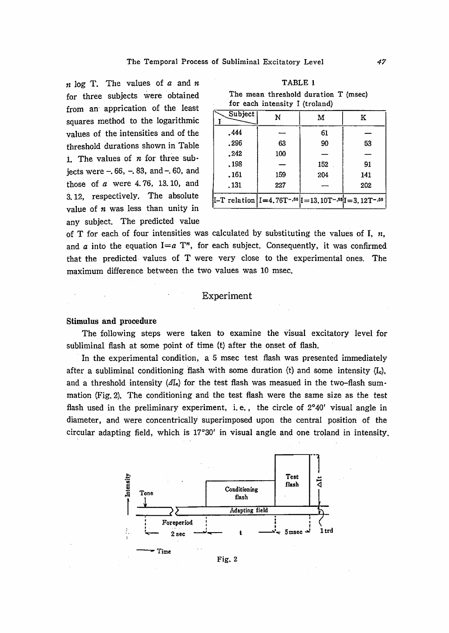$n \log T$ . The values of a and n for three subjects were obtained from an apprication of the least squares method to the logarithmic values of the intensities and of the threshold durations shown in Table 1 The values of  $n$  for three subiects were  $-.66, -.83, and -.60, and$ those of  $a$  were 4.76, 13.10, and 3.12. respectively. The absolute value of  $n$  was less than unity in any subject. The predicted value

|  |  | The mean threshold duration T (msec) |  |
|--|--|--------------------------------------|--|
|  |  | for each intensity I (troland)       |  |

| Subject                                                                                                    | N   | м   | к   |
|------------------------------------------------------------------------------------------------------------|-----|-----|-----|
| .444                                                                                                       |     | 61  |     |
| .296                                                                                                       | 63  | 90  | 53  |
| . 242                                                                                                      | 100 |     |     |
| . 198                                                                                                      |     | 152 | 91  |
| . 161                                                                                                      | 159 | 204 | 141 |
| . 131                                                                                                      | 227 |     | 202 |
| $\text{I-T relation}$   I = 4.76T <sup>-.66</sup>   I = 13.10T <sup>-.88</sup>   I = 3.12T <sup>-.66</sup> |     |     |     |

of T for each of four intensities was calculated by substituting the values of I.  $n$ . and a into the equation  $I=a T^n$ , for each subject. Consequently, it was confirmed that the predicted values of T were very close to the experimental ones. The maximum difference between the two values was 10 msec.

### **Experiment**

#### **Stimulus and procedure**

The following steps were taken to examine the visual excitatory level for subliminal flash at some point of time (t) after the onset of flash.

In the experimental condition, a 5 msec test flash was presented immediately after a subliminal conditioning flash with some duration (t) and some intensity  $(I<sub>c</sub>)$ , and a threshold intensity  $(JI_e)$  for the test flash was measued in the two-flash summation (Fig. 2). The conditioning and the test flash were the same size as the test flash used in the preliminary experiment, i.e., the circle of  $2^{\circ}40'$  visual angle in diameter, and were concentrically superimposed upon the central position of the circular adapting field, which is 17°30' in visual angle and one troland in intensity.



Fig. 2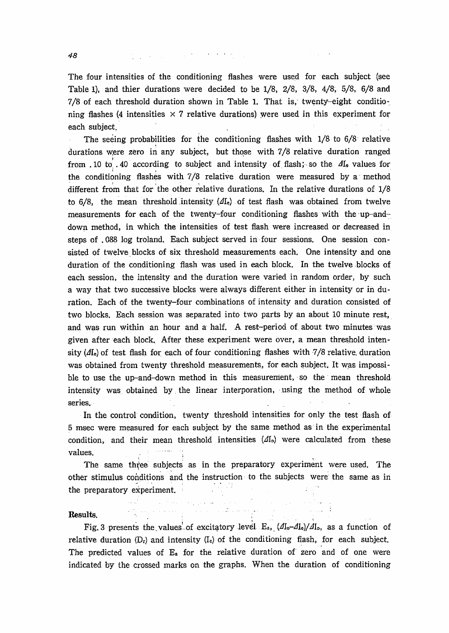48

The four intensities of the conditioning flashes were used for each subject (see Table 1), and thier durations were decided to be 1/8, 2/8, 3/8, 4/8, 5/8, 6/8 and 7/8 of each threshold duration shown in Table 1. That is, twenty-eight conditioning flashes (4 intensities  $\times$  7 relative durations) were used in this experiment for each subject.

The seeing probabilities for the conditioning flashes with 1/8 to 6/8 relative durations were zero in any subject, but those with 7/8 relative duration ranged from 10 to 40 according to subject and intensity of flash; so the  $\Delta I_e$  values for the conditioning flashes with 7/8 relative duration were measured by a method different from that for the other relative durations. In the relative durations of 1/8 to 6/8, the mean threshold intensity  $(dI_e)$  of test flash was obtained from twelve measurements for each of the twenty-four conditioning flashes with the up-anddown method, in which the intensities of test flash were increased or decreased in steps of .088 log troland. Each subject served in four sessions. One session consisted of twelve blocks of six threshold measurements each. One intensity and one duration of the conditioning flash was used in each block. In the twelve blocks of each session, the intensity and the duration were varied in random order, by such a way that two successive blocks were always different either in intensity or in duration. Each of the twenty-four combinations of intensity and duration consisted of two blocks. Each session was separated into two parts by an about 10 minute rest, and was run within an hour and a half. A rest-period of about two minutes was given after each block. After these experiment were over, a mean threshold intensity  $(dI_e)$  of test flash for each of four conditioning flashes with 7/8 relative duration was obtained from twenty threshold measurements, for each subject. It was impossible to use the up-and-down method in this measurement, so the mean threshold intensity was obtained by the linear interporation, using the method of whole series.

In the control condition, twenty threshold intensities for only the test flash of 5 msec were measured for each subject by the same method as in the experimental condition, and their mean threshold intensities  $(\Lambda I_0)$  were calculated from these values.

The same three subjects as in the preparatory experiment were used. The other stimulus conditions and the instruction to the subjects were the same as in the preparatory experiment.

#### Results.

Fig. 3 presents the values of excitatory level E<sub>a</sub>,  $(dI_0 - dI_0)/dI_0$ , as a function of relative duration  $(D_r)$  and intensity  $(I_c)$  of the conditioning flash, for each subject. The predicted values of  $E_a$  for the relative duration of zero and of one were indicated by the crossed marks on the graphs. When the duration of conditioning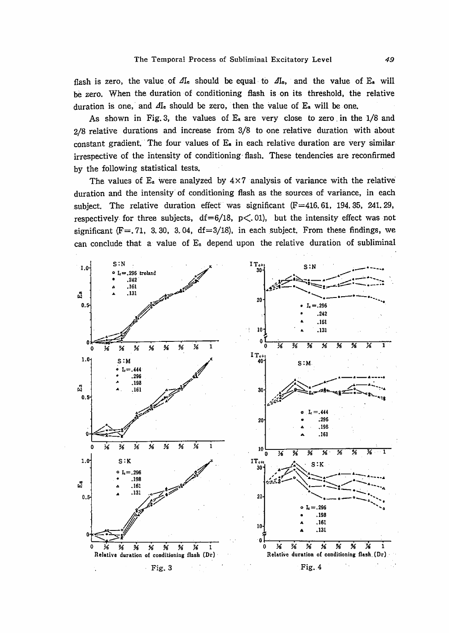flash is zero, the value of  $\Delta I_e$  should be equal to  $\Delta I_o$ , and the value of  $E_a$  will be zero. When the duration of conditioning flash is on its threshold, the relative duration is one, and  $\Delta I_e$  should be zero, then the value of  $E_a$  will be one.

As shown in Fig. 3, the values of  $E_a$  are very close to zero in the 1/8 and 2/8 relative durations and increase from 3/8 to one relative duration with about constant gradient. The four values of  $E_a$  in each relative duration are very similar irrespective of the intensity of conditioning flash. These tendencies are reconfirmed by the following statistical tests.

The values of  $E_a$  were analyzed by  $4 \times 7$  analysis of variance with the relative duration and the intensity of conditioning flash as the sources of variance, in each subject. The relative duration effect was significant  $(F=416, 61, 194, 35, 241, 29,$ respectively for three subjects,  $df=6/18$ ,  $p<.01$ ), but the intensity effect was not significant  $(F = 71, 3, 30, 3, 04, df = 3/18)$ , in each subject. From these findings, we can conclude that a value of  $E_a$  depend upon the relative duration of subliminal

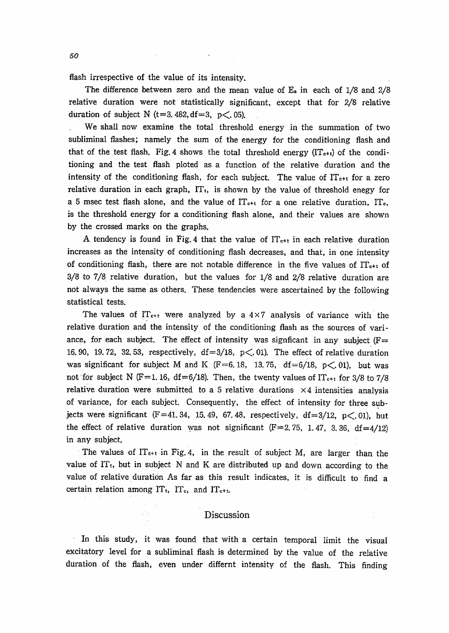flash irrespective of the value of its intensity.

The difference between zero and the mean value of  $E_a$  in each of  $1/8$  and  $2/8$ relative duration were not statistically significant, except that for 2/8 relative duration of subject N (t=3, 482, df=3, p $\lt$ , 05).

We shall now examine the total threshold energy in the summation of two subliminal flashes; namely the sum of the energy for the conditioning flash and that of the test flash, Fig. 4 shows the total threshold energy  $(\Pi_{c+t})$  of the conditioning and the test flash ploted as a function of the relative duration and the intensity of the conditioning flash, for each subject. The value of IT<sub>c+t</sub> for a zero relative duration in each graph,  $IT_t$ , is shown by the value of threshold enegy for a 5 msec test flash alone, and the value of  $IT_{c+t}$  for a one relative duration, IT<sub>c</sub>, is the threshold energy for a conditioning flash alone, and their values are shown by the crossed marks on the graphs.

A tendency is found in Fig. 4 that the value of  $IT_{c+t}$  in each relative duration increases as the intensity of conditioning flash decreases, and that, in one intensity of conditioning flash, there are not notable difference in the five values of  $IT_{c+1}$  of 3/8 to 7/8 relative duration, but the values for 1/8 and 2/8 relative duration are not always the same as others. These tendencies were ascertained by the following statistical tests.

The values of  $IT_{c+t}$  were analyzed by a  $4\times7$  analysis of variance with the relative duration and the intensity of the conditioning flash as the sources of variance, for each subject. The effect of intensity was signficant in any subject ( $F =$ 16.90, 19.72, 32.53, respectively,  $df = 3/18$ ,  $p \lt 0.01$ ). The effect of relative duration was significant for subject M and K ( $F=6$ , 18, 13, 75, df  $=6/18$ , p $\lt$ , 01), but was not for subject N (F=1, 16, df=6/18). Then, the twenty values of  $\Gamma_{c+t}$  for 3/8 to 7/8 relative duration were submitted to a 5 relative durations  $\times 4$  intensities analysis of variance, for each subject. Consequently, the effect of intensity for three subiects were significant (F=41.34, 15.49, 67.48, respectively, df=3/12, p $\lt$ .01), but the effect of relative duration was not significant (F=2.75, 1.47, 3.36, df=4/12) in any subject.

The values of  $IT_{c+t}$  in Fig. 4, in the result of subject M, are larger than the value of IT<sub>t</sub>, but in subject N and K are distributed up and down according to the value of relative duration As far as this result indicates, it is difficult to find a certain relation among  $IT_t$ ,  $IT_c$ , and  $IT_{c+t}$ .

## Discussion

In this study, it was found that with a certain temporal limit the visual excitatory level for a subliminal flash is determined by the value of the relative duration of the flash, even under differnt intensity of the flash. This finding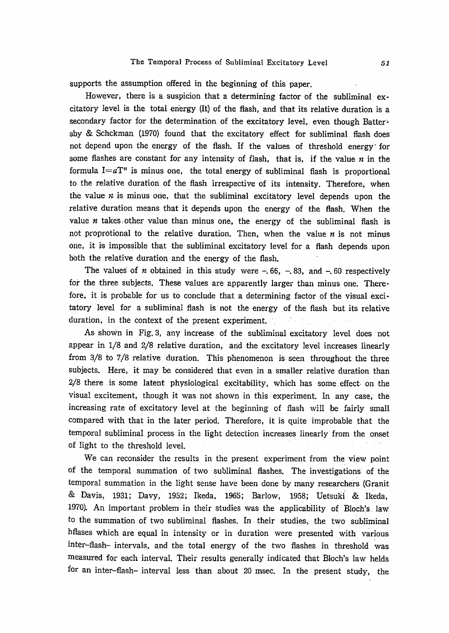supports the assumption offered in the beginning of this paper.

However, there is a suspicion that a determining factor of the subliminal excitatory level is the total energy (It) of the flash, and that its relative duration is a secondary factor for the determination of the excitatory level, even though Battershv & Schckman (1970) found that the excitatory effect for subliminal flash does not depend upon the energy of the flash. If the values of threshold energy for some flashes are constant for any intensity of flash, that is, if the value  $n$  in the formula  $I = aT<sup>n</sup>$  is minus one, the total energy of subliminal flash is proportional to the relative duration of the flash irrespective of its intensity. Therefore, when the value  $n$  is minus one, that the subliminal excitatory level depends upon the relative duration means that it depends upon the energy of the flash. When the value  $n$  takes other value than minus one, the energy of the subliminal flash is not proprotional to the relative duration. Then, when the value  $n$  is not minus one, it is impossible that the subliminal excitatory level for a flash depends upon both the relative duration and the energy of the flash.

The values of *n* obtained in this study were  $-.66, -.83, and -.60 respectively$ for the three subjects. These values are apparently larger than minus one. Therefore, it is probable for us to conclude that a determining factor of the visual excitatory level for a subliminal flash is not the energy of the flash but its relative duration, in the context of the present experiment.

As shown in Fig. 3, any increase of the subliminal excitatory level does not appear in 1/8 and 2/8 relative duration, and the excitatory level increases linearly from 3/8 to 7/8 relative duration. This phenomenon is seen throughout the three subjects. Here, it may be considered that even in a smaller relative duration than 2/8 there is some latent physiological excitability, which has some effect on the visual excitement, though it was not shown in this experiment. In any case, the increasing rate of excitatory level at the beginning of flash will be fairly small compared with that in the later period. Therefore, it is quite improbable that the temporal subliminal process in the light detection increases linearly from the onset of light to the threshold level.

We can reconsider the results in the present experiment from the view point of the temporal summation of two subliminal flashes. The investigations of the temporal summation in the light sense have been done by many researchers (Granit & Davis, 1931; Davy, 1952; Ikeda, 1965; Barlow, 1958; Uetsuki & Ikeda, 1970). An important problem in their studies was the applicability of Bloch's law to the summation of two subliminal flashes. In their studies, the two subliminal hflases which are equal in intensity or in duration were presented with various inter-flash- intervals, and the total energy of the two flashes in threshold was measured for each interval. Their results generally indicated that Bloch's law helds for an inter-flash- interval less than about 20 msec. In the present study, the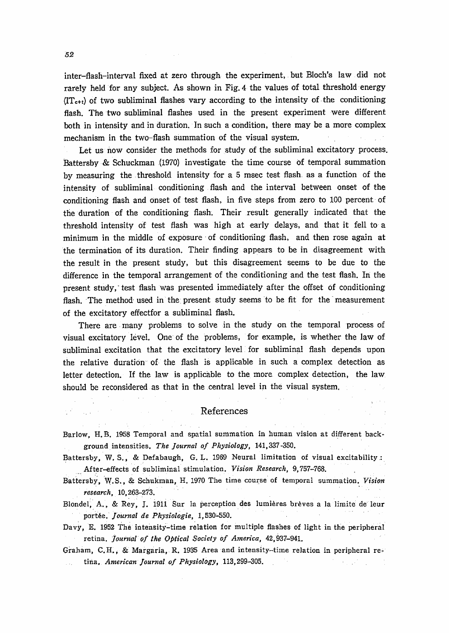inter-nash-interval fixed at 2ero through the experiment, but Bloch's Iaw did not rarely held for any subject. As shown in Fig. 4 the values of total threshold energy  $(T_{\text{c}}+t)$  of two subliminal flashes vary according to the intensity of the conditioning flash. The two subliminal flashes used in the present experiment were different both in intensity and in duration. In such a condition, there may be a more complex mechanism in the two-flash summation of the visual system.

Let us now consider the methods for study of the subliminal excitatory process. Battersby & Schuckman (1970) investigate the time course of temporal summation by measuring the threshold intensity for a 5 msec test flash as a function of the intensity of subliminal conditioning flash and the interval between onset of the conditioning flash and onset of test flash, in five steps from zero to 100 percent of the duration of the conditioning fiash. Their result generally indicated that the threshold intensity of test flash was high at early delays, and that it fell to a minimum in the middle of exposure of conditioning flash, and then rose again at the termination of its duration. Their finding appears to be in disagreement with the result in the present study, but this disagreement seems to be due to the difference in the temporal arrangement of the conditioning and the test flash. In the present study, test flash was presented immediately after the offset of conditioning flash. The method used in the present study seems to be fit for the measurement of the excitatory effectfor a subliminal flash.

There are many problems to solve in the study on the temporal process of visual excitatory level. One of the problems, for example, is whether the law of subliminal excitation that the excitatory level for subliminal flash depends upon the relative duration of the flash is applicable in such a complex detection as letter detection. If the law is applicable to the more complex detection, the law. should be reconsidered as that in the central level in the visual system.

#### References

- Barlow, H.B. 1958 Temporal and spatial summation in human vision at different back ground intensities. The Journal of Physiology, 141,337-350.
- Battersby, W. S., & Defabaugh, G. L. 1969 Neural limitation of visual excitability: After-effects of subliminal stimulation. Vision Research, 9,757-768.
- Battersby, W.S., & Schukman, H. 1970 The time course of temporal summation. Vision research, 10,263-273.
- Blondel, A., & Rey. J. 1911 Sur la perception des lumières brèves a la limite de leur portée. Journal de Physiologie, 1,530-550.
- Davy, E. 1952 The intensity-time relation for multiple flashes of light in the peripher retina. Journal of the Optical Society of America, 42,937-941.
- Graham, C.H., & Margaria, R. 1935 Area and intensity-time relation in peripheral retina, American Journal of Physiology, 113,299-305.

 $\mathcal{L}(\mathcal{A}) = \mathcal{L}(\mathcal{A}) \cdot \mathcal{A}(\mathcal{A})$ 

 $\sim 100$  km s  $^{-1}$